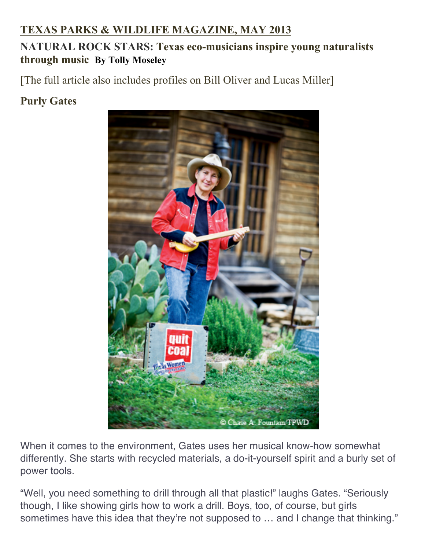## **TEXAS PARKS & WILDLIFE MAGAZINE, MAY 2013**

## **NATURAL ROCK STARS: Texas eco-musicians inspire young naturalists through music By Tolly Moseley**

[The full article also includes profiles on Bill Oliver and Lucas Miller]

## **Purly Gates**



When it comes to the environment, Gates uses her musical know-how somewhat differently. She starts with recycled materials, a do-it-yourself spirit and a burly set of power tools.

"Well, you need something to drill through all that plastic!" laughs Gates. "Seriously though, I like showing girls how to work a drill. Boys, too, of course, but girls sometimes have this idea that they're not supposed to ... and I change that thinking."